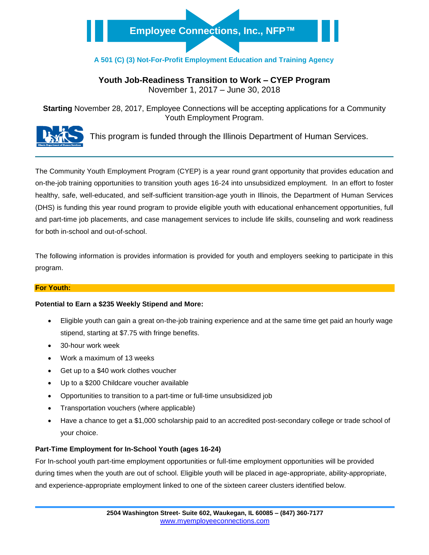# **Employee Connections, Inc., NFP™**

# **A 501 (C) (3) Not-For-Profit Employment Education and Training Agency**

# **Youth Job-Readiness Transition to Work – CYEP Program**

November 1, 2017 – June 30, 2018

**Starting** November 28, 2017, Employee Connections will be accepting applications for a Community Youth Employment Program.



This program is funded through the Illinois Department of Human Services.

The Community Youth Employment Program (CYEP) is a year round grant opportunity that provides education and on-the-job training opportunities to transition youth ages 16-24 into unsubsidized employment. In an effort to foster healthy, safe, well-educated, and self-sufficient transition-age youth in Illinois, the Department of Human Services (DHS) is funding this year round program to provide eligible youth with educational enhancement opportunities, full and part-time job placements, and case management services to include life skills, counseling and work readiness for both in-school and out-of-school.

The following information is provides information is provided for youth and employers seeking to participate in this program.

#### **For Youth:**

#### **Potential to Earn a \$235 Weekly Stipend and More:**

- Eligible youth can gain a great on-the-job training experience and at the same time get paid an hourly wage stipend, starting at \$7.75 with fringe benefits.
- 30-hour work week
- Work a maximum of 13 weeks
- Get up to a \$40 work clothes voucher
- Up to a \$200 Childcare voucher available
- Opportunities to transition to a part-time or full-time unsubsidized job
- Transportation vouchers (where applicable)
- Have a chance to get a \$1,000 scholarship paid to an accredited post-secondary college or trade school of your choice.

#### **Part-Time Employment for In-School Youth (ages 16-24)**

For In-school youth part-time employment opportunities or full-time employment opportunities will be provided during times when the youth are out of school. Eligible youth will be placed in age-appropriate, ability-appropriate, and experience-appropriate employment linked to one of the sixteen career clusters identified below.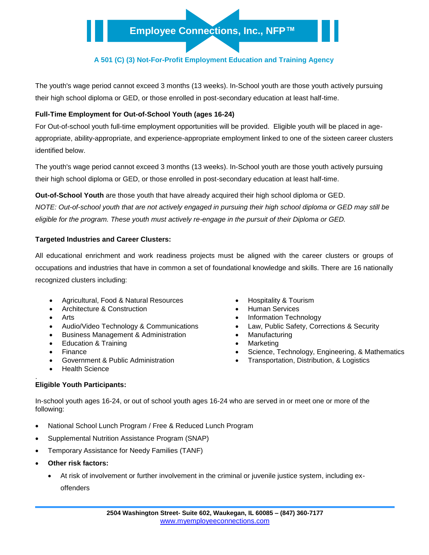# **A 501 (C) (3) Not-For-Profit Employment Education and Training Agency**

The youth's wage period cannot exceed 3 months (13 weeks). In-School youth are those youth actively pursuing their high school diploma or GED, or those enrolled in post-secondary education at least half-time.

## **Full-Time Employment for Out-of-School Youth (ages 16-24)**

For Out-of-school youth full-time employment opportunities will be provided. Eligible youth will be placed in ageappropriate, ability-appropriate, and experience-appropriate employment linked to one of the sixteen career clusters identified below.

The youth's wage period cannot exceed 3 months (13 weeks). In-School youth are those youth actively pursuing their high school diploma or GED, or those enrolled in post-secondary education at least half-time.

**Out-of-School Youth** are those youth that have already acquired their high school diploma or GED. *NOTE: Out-of-school youth that are not actively engaged in pursuing their high school diploma or GED may still be eligible for the program. These youth must actively re-engage in the pursuit of their Diploma or GED.*

### **Targeted Industries and Career Clusters:**

All educational enrichment and work readiness projects must be aligned with the career clusters or groups of occupations and industries that have in common a set of foundational knowledge and skills. There are 16 nationally recognized clusters including:

- Agricultural, Food & Natural Resources **· Conservery Agricultural**, Food & Natural Resources
- Architecture & Construction **Architecture & Construction Architecture & Construction**
- 
- 
- Business Management & Administration **Manufacturing Manufacturing**
- Education & Training **Marketing Contract Contract Contract Contract Contract Contract Contract Contract Contract Contract Contract Contract Contract Contract Contract Contract Contract Contract Contract Contract Contract C**
- 
- 
- Health Science

#### . **Eligible Youth Participants:**

- 
- 
- Arts **Information Technology Information Technology**
- Audio/Video Technology & Communications **Communications ACCOM** Law, Public Safety, Corrections & Security
	-
	-
- Finance **Science Accompanyies** Science, Technology, Engineering, & Mathematics
- Government & Public Administration **Conserverse Conservation, Distribution, & Logistics** Conservation, a Logistics

In-school youth ages 16-24, or out of school youth ages 16-24 who are served in or meet one or more of the following:

- National School Lunch Program / Free & Reduced Lunch Program
- Supplemental Nutrition Assistance Program (SNAP)
- Temporary Assistance for Needy Families (TANF)
- **Other risk factors:**
	- At risk of involvement or further involvement in the criminal or juvenile justice system, including exoffenders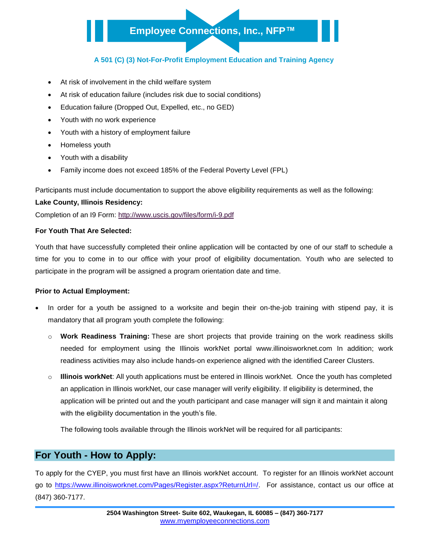# **Employee Connections, Inc., NFP™**

## **A 501 (C) (3) Not-For-Profit Employment Education and Training Agency**

- At risk of involvement in the child welfare system
- At risk of education failure (includes risk due to social conditions)
- Education failure (Dropped Out, Expelled, etc., no GED)
- Youth with no work experience
- Youth with a history of employment failure
- Homeless youth
- Youth with a disability
- Family income does not exceed 185% of the Federal Poverty Level (FPL)

Participants must include documentation to support the above eligibility requirements as well as the following:

#### **Lake County, Illinois Residency:**

Completion of an I9 Form: <http://www.uscis.gov/files/form/i-9.pdf>

#### **For Youth That Are Selected:**

Youth that have successfully completed their online application will be contacted by one of our staff to schedule a time for you to come in to our office with your proof of eligibility documentation. Youth who are selected to participate in the program will be assigned a program orientation date and time.

#### **Prior to Actual Employment:**

- In order for a youth be assigned to a worksite and begin their on-the-job training with stipend pay, it is mandatory that all program youth complete the following:
	- o **Work Readiness Training:** These are short projects that provide training on the work readiness skills needed for employment using the Illinois workNet portal www.illinoisworknet.com In addition; work readiness activities may also include hands-on experience aligned with the identified Career Clusters.
	- **Illinois workNet**: All youth applications must be entered in Illinois workNet. Once the youth has completed an application in Illinois workNet, our case manager will verify eligibility. If eligibility is determined, the application will be printed out and the youth participant and case manager will sign it and maintain it along with the eligibility documentation in the youth's file.

The following tools available through the Illinois workNet will be required for all participants:

# **For Youth - How to Apply:**

To apply for the CYEP, you must first have an Illinois workNet account. To register for an Illinois workNet account go to [https://www.illinoisworknet.com/Pages/Register.aspx?ReturnUrl=/.](https://www.illinoisworknet.com/Pages/Register.aspx?ReturnUrl=/) For assistance, contact us our office at (847) 360-7177.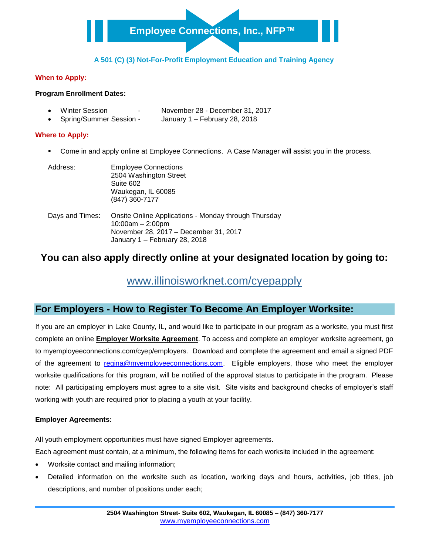## **A 501 (C) (3) Not-For-Profit Employment Education and Training Agency**

## **When to Apply:**

#### **Program Enrollment Dates:**

- Winter Session November 28 December 31, 2017
- Spring/Summer Session January 1 February 28, 2018

## **Where to Apply:**

Come in and apply online at Employee Connections. A Case Manager will assist you in the process.

| Address:        | <b>Employee Connections</b><br>2504 Washington Street<br>Suite 602<br>Waukegan, IL 60085<br>(847) 360-7177                                           |
|-----------------|------------------------------------------------------------------------------------------------------------------------------------------------------|
| Days and Times: | Onsite Online Applications - Monday through Thursday<br>$10:00am - 2:00pm$<br>November 28, 2017 - December 31, 2017<br>January 1 - February 28, 2018 |

# **You can also apply directly online at your designated location by going to:**

# [www.illinoisworknet.com/cyepapply](http://www.illinoisworknet.com/cyepapply)

# **For Employers - How to Register To Become An Employer Worksite:**

If you are an employer in Lake County, IL, and would like to participate in our program as a worksite, you must first complete an online **Employer Worksite Agreement**. To access and complete an employer worksite agreement, go to myemployeeconnections.com/cyep/employers. Download and complete the agreement and email a signed PDF of the agreement to [regina@myemployeeconnections.com.](mailto:regina@myemployeeconnections.com) Eligible employers, those who meet the employer worksite qualifications for this program, will be notified of the approval status to participate in the program. Please note: All participating employers must agree to a site visit. Site visits and background checks of employer's staff working with youth are required prior to placing a youth at your facility.

### **Employer Agreements:**

All youth employment opportunities must have signed Employer agreements.

Each agreement must contain, at a minimum, the following items for each worksite included in the agreement:

- Worksite contact and mailing information;
- Detailed information on the worksite such as location, working days and hours, activities, job titles, job descriptions, and number of positions under each;